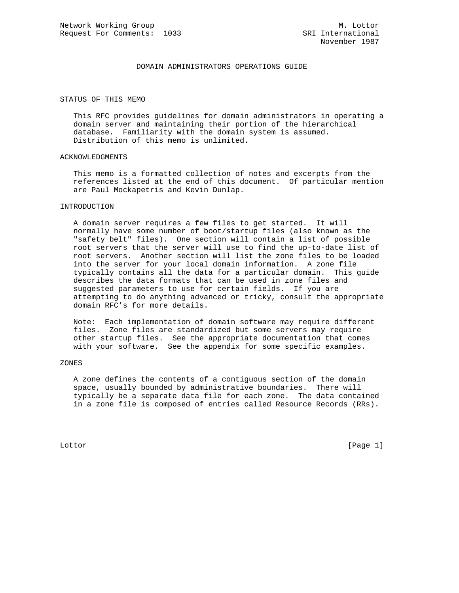## DOMAIN ADMINISTRATORS OPERATIONS GUIDE

### STATUS OF THIS MEMO

 This RFC provides guidelines for domain administrators in operating a domain server and maintaining their portion of the hierarchical database. Familiarity with the domain system is assumed. Distribution of this memo is unlimited.

#### ACKNOWLEDGMENTS

 This memo is a formatted collection of notes and excerpts from the references listed at the end of this document. Of particular mention are Paul Mockapetris and Kevin Dunlap.

### INTRODUCTION

 A domain server requires a few files to get started. It will normally have some number of boot/startup files (also known as the "safety belt" files). One section will contain a list of possible root servers that the server will use to find the up-to-date list of root servers. Another section will list the zone files to be loaded into the server for your local domain information. A zone file typically contains all the data for a particular domain. This guide describes the data formats that can be used in zone files and suggested parameters to use for certain fields. If you are attempting to do anything advanced or tricky, consult the appropriate domain RFC's for more details.

 Note: Each implementation of domain software may require different files. Zone files are standardized but some servers may require other startup files. See the appropriate documentation that comes with your software. See the appendix for some specific examples.

#### ZONES

 A zone defines the contents of a contiguous section of the domain space, usually bounded by administrative boundaries. There will typically be a separate data file for each zone. The data contained in a zone file is composed of entries called Resource Records (RRs).

Lottor [Page 1]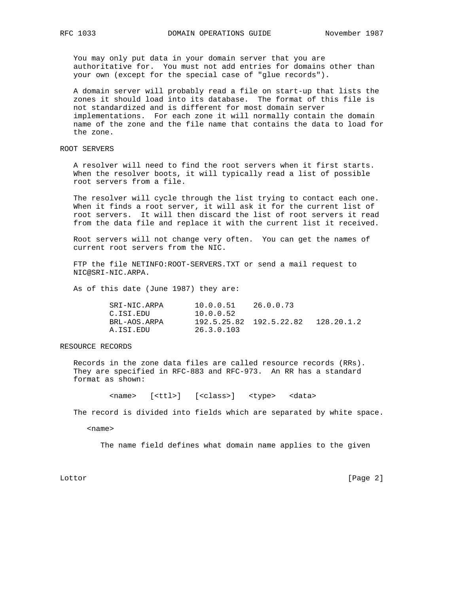You may only put data in your domain server that you are authoritative for. You must not add entries for domains other than your own (except for the special case of "glue records").

 A domain server will probably read a file on start-up that lists the zones it should load into its database. The format of this file is not standardized and is different for most domain server implementations. For each zone it will normally contain the domain name of the zone and the file name that contains the data to load for the zone.

ROOT SERVERS

 A resolver will need to find the root servers when it first starts. When the resolver boots, it will typically read a list of possible root servers from a file.

 The resolver will cycle through the list trying to contact each one. When it finds a root server, it will ask it for the current list of root servers. It will then discard the list of root servers it read from the data file and replace it with the current list it received.

 Root servers will not change very often. You can get the names of current root servers from the NIC.

 FTP the file NETINFO:ROOT-SERVERS.TXT or send a mail request to NIC@SRI-NIC.ARPA.

As of this date (June 1987) they are:

| SRI-NIC.ARPA | 10.0.0.51  | 26.0.0.73               |            |
|--------------|------------|-------------------------|------------|
| C.ISI.EDU    | 10.0.0.52  |                         |            |
| BRL-AOS.ARPA |            | 192.5.25.82 192.5.22.82 | 128.20.1.2 |
| A.ISI.EDU    | 26.3.0.103 |                         |            |

#### RESOURCE RECORDS

 Records in the zone data files are called resource records (RRs). They are specified in RFC-883 and RFC-973. An RR has a standard format as shown:

<name> [<ttl>] [<class>] <type> <data>

The record is divided into fields which are separated by white space.

<name>

The name field defines what domain name applies to the given

Lottor [Page 2]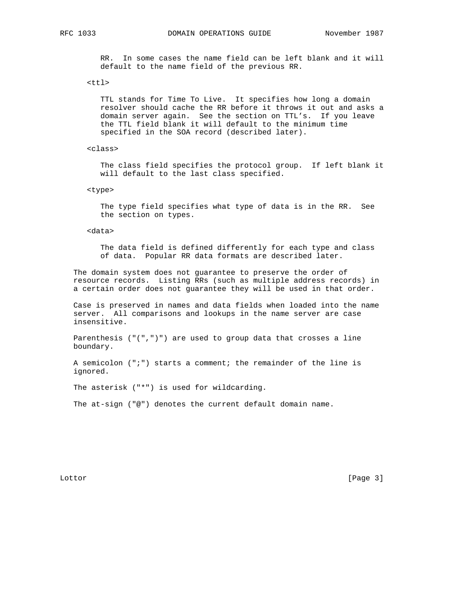RFC 1033 DOMAIN OPERATIONS GUIDE November 1987

 RR. In some cases the name field can be left blank and it will default to the name field of the previous RR.

 $<$ ttl>

 TTL stands for Time To Live. It specifies how long a domain resolver should cache the RR before it throws it out and asks a domain server again. See the section on TTL's. If you leave the TTL field blank it will default to the minimum time specified in the SOA record (described later).

<class>

 The class field specifies the protocol group. If left blank it will default to the last class specified.

<type>

 The type field specifies what type of data is in the RR. See the section on types.

<data>

 The data field is defined differently for each type and class of data. Popular RR data formats are described later.

 The domain system does not guarantee to preserve the order of resource records. Listing RRs (such as multiple address records) in a certain order does not guarantee they will be used in that order.

 Case is preserved in names and data fields when loaded into the name server. All comparisons and lookups in the name server are case insensitive.

 Parenthesis ("(",")") are used to group data that crosses a line boundary.

 A semicolon (";") starts a comment; the remainder of the line is ignored.

The asterisk ("\*") is used for wildcarding.

The at-sign ("@") denotes the current default domain name.

Lottor [Page 3]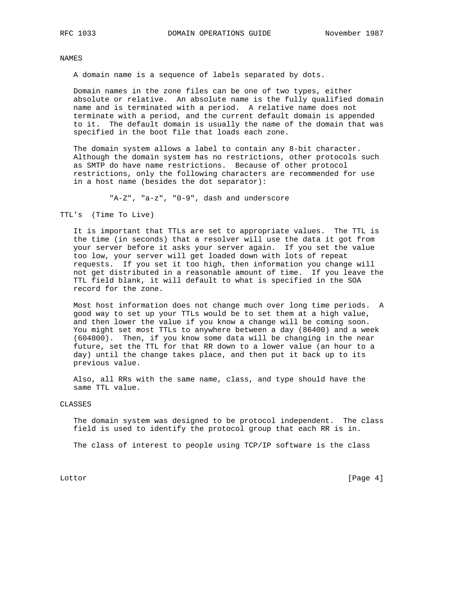NAMES

A domain name is a sequence of labels separated by dots.

 Domain names in the zone files can be one of two types, either absolute or relative. An absolute name is the fully qualified domain name and is terminated with a period. A relative name does not terminate with a period, and the current default domain is appended to it. The default domain is usually the name of the domain that was specified in the boot file that loads each zone.

 The domain system allows a label to contain any 8-bit character. Although the domain system has no restrictions, other protocols such as SMTP do have name restrictions. Because of other protocol restrictions, only the following characters are recommended for use in a host name (besides the dot separator):

"A-Z", "a-z", "0-9", dash and underscore

TTL's (Time To Live)

 It is important that TTLs are set to appropriate values. The TTL is the time (in seconds) that a resolver will use the data it got from your server before it asks your server again. If you set the value too low, your server will get loaded down with lots of repeat requests. If you set it too high, then information you change will not get distributed in a reasonable amount of time. If you leave the TTL field blank, it will default to what is specified in the SOA record for the zone.

 Most host information does not change much over long time periods. A good way to set up your TTLs would be to set them at a high value, and then lower the value if you know a change will be coming soon. You might set most TTLs to anywhere between a day (86400) and a week (604800). Then, if you know some data will be changing in the near future, set the TTL for that RR down to a lower value (an hour to a day) until the change takes place, and then put it back up to its previous value.

 Also, all RRs with the same name, class, and type should have the same TTL value.

#### CLASSES

 The domain system was designed to be protocol independent. The class field is used to identify the protocol group that each RR is in.

The class of interest to people using TCP/IP software is the class

Lottor [Page 4]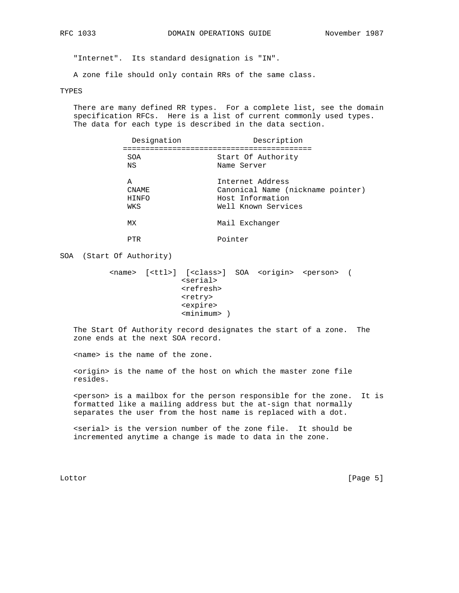"Internet". Its standard designation is "IN".

A zone file should only contain RRs of the same class.

#### TYPES

 There are many defined RR types. For a complete list, see the domain specification RFCs. Here is a list of current commonly used types. The data for each type is described in the data section.

| Designation | Description                       |
|-------------|-----------------------------------|
|             |                                   |
| SOA         | Start Of Authority                |
| NS          | Name Server                       |
| Α           | Internet Address                  |
| CNAME       | Canonical Name (nickname pointer) |
| HINFO       | Host Information                  |
| WKS         | Well Known Services               |
| МX          | Mail Exchanger                    |

PTR Pointer

SOA (Start Of Authority)

 <name> [<ttl>] [<class>] SOA <origin> <person> ( <serial> <refresh> <retry> <expire> <minimum> )

 The Start Of Authority record designates the start of a zone. The zone ends at the next SOA record.

<name> is the name of the zone.

 <origin> is the name of the host on which the master zone file resides.

 <person> is a mailbox for the person responsible for the zone. It is formatted like a mailing address but the at-sign that normally separates the user from the host name is replaced with a dot.

 <serial> is the version number of the zone file. It should be incremented anytime a change is made to data in the zone.

Lottor [Page 5]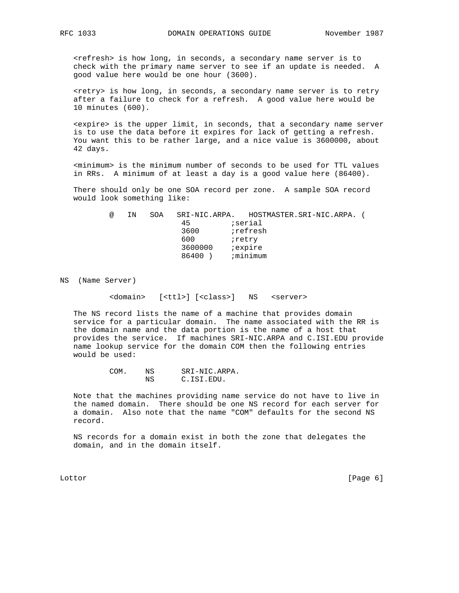<refresh> is how long, in seconds, a secondary name server is to check with the primary name server to see if an update is needed. A good value here would be one hour (3600).

 <retry> is how long, in seconds, a secondary name server is to retry after a failure to check for a refresh. A good value here would be 10 minutes (600).

 <expire> is the upper limit, in seconds, that a secondary name server is to use the data before it expires for lack of getting a refresh. You want this to be rather large, and a nice value is 3600000, about 42 days.

 <minimum> is the minimum number of seconds to be used for TTL values in RRs. A minimum of at least a day is a good value here (86400).

 There should only be one SOA record per zone. A sample SOA record would look something like:

 @ IN SOA SRI-NIC.ARPA. HOSTMASTER.SRI-NIC.ARPA. ( 45 ;serial and the state of 3600 interests the state of the state of the state of the state of the state of the state of the state of the state of the state of the state of the state of the state of the state of the state of the stat er and the state of the state of the state of the state of the state of the state of the state of the state of the state of the state of the state of the state of the state of the state of the state of the state of the sta 3600000 ;expire 86400 ) ; minimum

NS (Name Server)

<domain> [<ttl>] [<class>] NS <server>

 The NS record lists the name of a machine that provides domain service for a particular domain. The name associated with the RR is the domain name and the data portion is the name of a host that provides the service. If machines SRI-NIC.ARPA and C.ISI.EDU provide name lookup service for the domain COM then the following entries would be used:

> COM. NS SRI-NIC.ARPA. NS C.ISI.EDU.

 Note that the machines providing name service do not have to live in the named domain. There should be one NS record for each server for a domain. Also note that the name "COM" defaults for the second NS record.

 NS records for a domain exist in both the zone that delegates the domain, and in the domain itself.

Lottor [Page 6]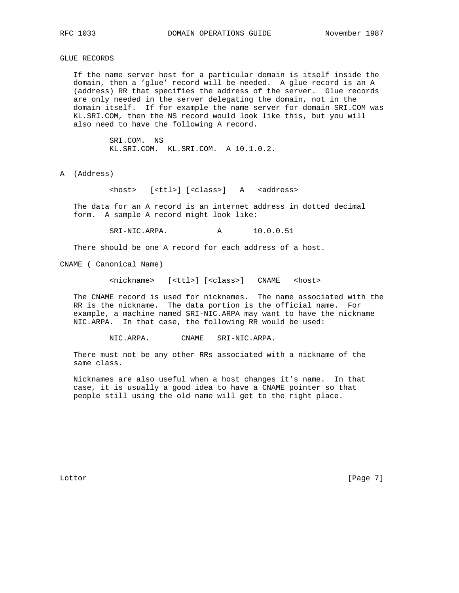GLUE RECORDS

 If the name server host for a particular domain is itself inside the domain, then a 'glue' record will be needed. A glue record is an A (address) RR that specifies the address of the server. Glue records are only needed in the server delegating the domain, not in the domain itself. If for example the name server for domain SRI.COM was KL.SRI.COM, then the NS record would look like this, but you will also need to have the following A record.

> SRI.COM. NS KL.SRI.COM. KL.SRI.COM. A 10.1.0.2.

A (Address)

<host> [<ttl>] [<class>] A <address>

 The data for an A record is an internet address in dotted decimal form. A sample A record might look like:

SRI-NIC.ARPA. A 10.0.0.51

There should be one A record for each address of a host.

CNAME ( Canonical Name)

<nickname> [<ttl>] [<class>] CNAME <host>

 The CNAME record is used for nicknames. The name associated with the RR is the nickname. The data portion is the official name. For example, a machine named SRI-NIC.ARPA may want to have the nickname NIC.ARPA. In that case, the following RR would be used:

NIC.ARPA. CNAME SRI-NIC.ARPA.

 There must not be any other RRs associated with a nickname of the same class.

 Nicknames are also useful when a host changes it's name. In that case, it is usually a good idea to have a CNAME pointer so that people still using the old name will get to the right place.

Lottor [Page 7]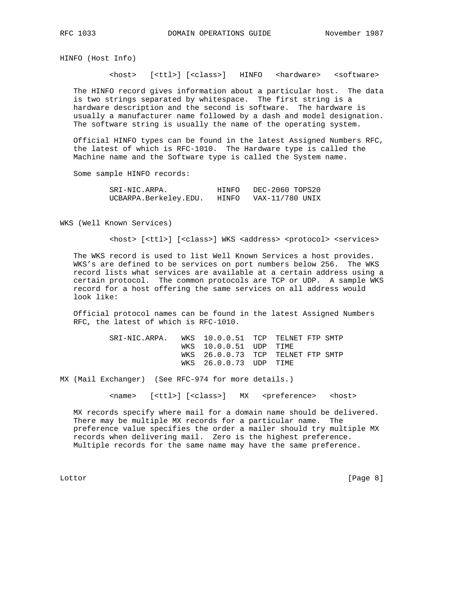HINFO (Host Info)

<host> [<ttl>] [<class>] HINFO <hardware> <software>

 The HINFO record gives information about a particular host. The data is two strings separated by whitespace. The first string is a hardware description and the second is software. The hardware is usually a manufacturer name followed by a dash and model designation. The software string is usually the name of the operating system.

 Official HINFO types can be found in the latest Assigned Numbers RFC, the latest of which is RFC-1010. The Hardware type is called the Machine name and the Software type is called the System name.

Some sample HINFO records:

SRI-NIC.ARPA. HINFO DEC-2060 TOPS20 UCBARPA.Berkeley.EDU. HINFO VAX-11/780 UNIX

WKS (Well Known Services)

<host> [<ttl>] [<class>] WKS <address> <protocol> <services>

 The WKS record is used to list Well Known Services a host provides. WKS's are defined to be services on port numbers below 256. The WKS record lists what services are available at a certain address using a certain protocol. The common protocols are TCP or UDP. A sample WKS record for a host offering the same services on all address would look like:

 Official protocol names can be found in the latest Assigned Numbers RFC, the latest of which is RFC-1010.

> SRI-NIC.ARPA. WKS 10.0.0.51 TCP TELNET FTP SMTP WKS 10.0.0.51 UDP TIME WKS 26.0.0.73 TCP TELNET FTP SMTP WKS 26.0.0.73 UDP TIME

MX (Mail Exchanger) (See RFC-974 for more details.)

<name> [<ttl>] [<class>] MX <preference> <host>

 MX records specify where mail for a domain name should be delivered. There may be multiple MX records for a particular name. The preference value specifies the order a mailer should try multiple MX records when delivering mail. Zero is the highest preference. Multiple records for the same name may have the same preference.

Lottor [Page 8]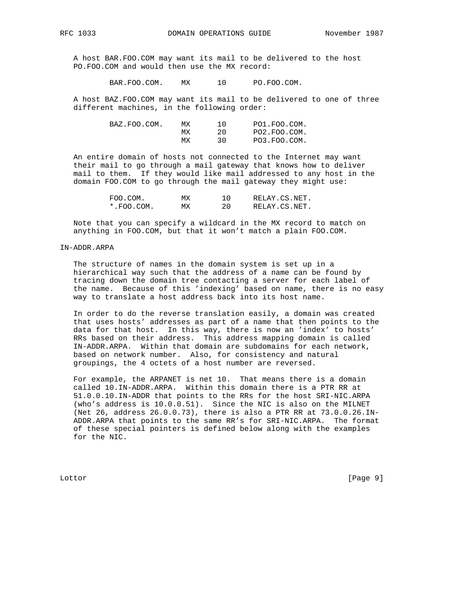A host BAR.FOO.COM may want its mail to be delivered to the host PO.FOO.COM and would then use the MX record:

BAR.FOO.COM. MX 10 PO.FOO.COM.

 A host BAZ.FOO.COM may want its mail to be delivered to one of three different machines, in the following order:

| BAZ.FOO.COM. | МX | PO1.FOO.COM. |
|--------------|----|--------------|
|              | МX | PO2.FOO.COM. |
|              | МX | PO3.FOO.COM. |

 An entire domain of hosts not connected to the Internet may want their mail to go through a mail gateway that knows how to deliver mail to them. If they would like mail addressed to any host in the domain FOO.COM to go through the mail gateway they might use:

| FOO.COM.        | МX | RELAY.CS.NET. |
|-----------------|----|---------------|
| $*$ . FOO. COM. | МX | RELAY.CS.NET. |

 Note that you can specify a wildcard in the MX record to match on anything in FOO.COM, but that it won't match a plain FOO.COM.

### IN-ADDR.ARPA

 The structure of names in the domain system is set up in a hierarchical way such that the address of a name can be found by tracing down the domain tree contacting a server for each label of the name. Because of this 'indexing' based on name, there is no easy way to translate a host address back into its host name.

 In order to do the reverse translation easily, a domain was created that uses hosts' addresses as part of a name that then points to the data for that host. In this way, there is now an 'index' to hosts' RRs based on their address. This address mapping domain is called IN-ADDR.ARPA. Within that domain are subdomains for each network, based on network number. Also, for consistency and natural groupings, the 4 octets of a host number are reversed.

 For example, the ARPANET is net 10. That means there is a domain called 10.IN-ADDR.ARPA. Within this domain there is a PTR RR at 51.0.0.10.IN-ADDR that points to the RRs for the host SRI-NIC.ARPA (who's address is 10.0.0.51). Since the NIC is also on the MILNET (Net 26, address 26.0.0.73), there is also a PTR RR at 73.0.0.26.IN- ADDR.ARPA that points to the same RR's for SRI-NIC.ARPA. The format of these special pointers is defined below along with the examples for the NIC.

Lottor [Page 9]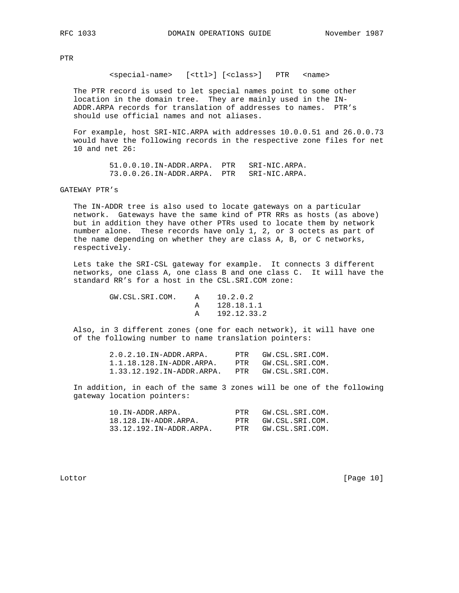PTR

<special-name> [<ttl>] [<class>] PTR <name>

 The PTR record is used to let special names point to some other location in the domain tree. They are mainly used in the IN- ADDR.ARPA records for translation of addresses to names. PTR's should use official names and not aliases.

 For example, host SRI-NIC.ARPA with addresses 10.0.0.51 and 26.0.0.73 would have the following records in the respective zone files for net 10 and net 26:

 51.0.0.10.IN-ADDR.ARPA. PTR SRI-NIC.ARPA. 73.0.0.26.IN-ADDR.ARPA. PTR SRI-NIC.ARPA.

## GATEWAY PTR's

 The IN-ADDR tree is also used to locate gateways on a particular network. Gateways have the same kind of PTR RRs as hosts (as above) but in addition they have other PTRs used to locate them by network number alone. These records have only 1, 2, or 3 octets as part of the name depending on whether they are class A, B, or C networks, respectively.

 Lets take the SRI-CSL gateway for example. It connects 3 different networks, one class A, one class B and one class C. It will have the standard RR's for a host in the CSL.SRI.COM zone:

> GW.CSL.SRI.COM. A 10.2.0.2 A 128.18.1.1 A 192.12.33.2

 Also, in 3 different zones (one for each network), it will have one of the following number to name translation pointers:

| $2.0.2.10.$ IN-ADDR.ARPA.   | PTR | GW.CSL.SRI.COM. |
|-----------------------------|-----|-----------------|
| $1.1.18.128.$ IN-ADDR.ARPA. | PTR | GW.CSL.SRI.COM. |
| 1.33.12.192.IN-ADDR.ARPA.   | PTR | GW.CSL.SRI.COM. |

 In addition, in each of the same 3 zones will be one of the following gateway location pointers:

| 10.IN-ADDR.ARPA.        | PTR | GW.CSL.SRI.COM. |
|-------------------------|-----|-----------------|
| 18.128.IN-ADDR.ARPA.    | PTR | GW.CSL.SRI.COM. |
| 33.12.192.IN-ADDR.ARPA. | PTR | GW.CSL.SRI.COM. |

Lottor [Page 10]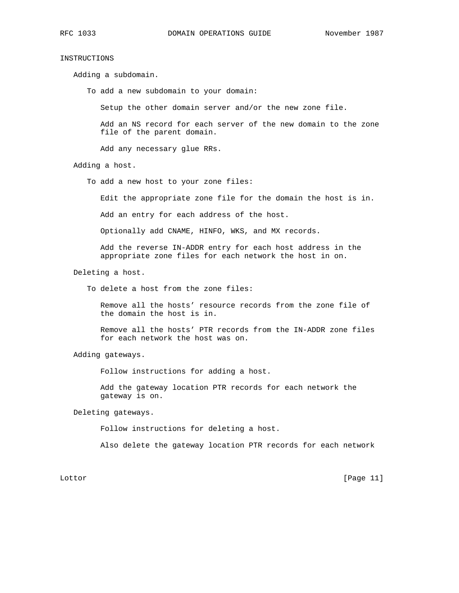# INSTRUCTIONS

Adding a subdomain.

To add a new subdomain to your domain:

Setup the other domain server and/or the new zone file.

 Add an NS record for each server of the new domain to the zone file of the parent domain.

Add any necessary glue RRs.

Adding a host.

To add a new host to your zone files:

Edit the appropriate zone file for the domain the host is in.

Add an entry for each address of the host.

Optionally add CNAME, HINFO, WKS, and MX records.

 Add the reverse IN-ADDR entry for each host address in the appropriate zone files for each network the host in on.

Deleting a host.

To delete a host from the zone files:

 Remove all the hosts' resource records from the zone file of the domain the host is in.

 Remove all the hosts' PTR records from the IN-ADDR zone files for each network the host was on.

Adding gateways.

Follow instructions for adding a host.

 Add the gateway location PTR records for each network the gateway is on.

Deleting gateways.

Follow instructions for deleting a host.

Also delete the gateway location PTR records for each network

Lottor [Page 11]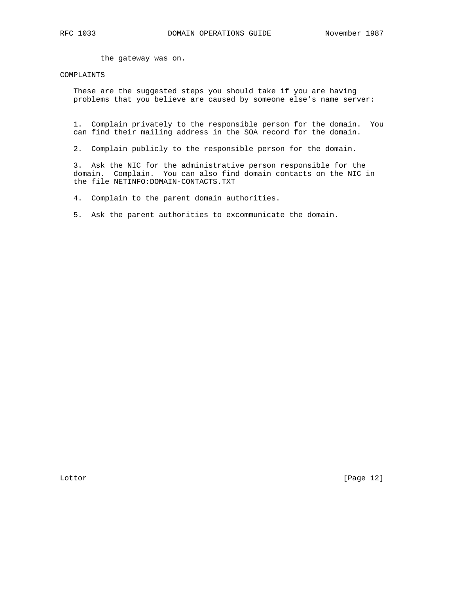the gateway was on.

## COMPLAINTS

 These are the suggested steps you should take if you are having problems that you believe are caused by someone else's name server:

 1. Complain privately to the responsible person for the domain. You can find their mailing address in the SOA record for the domain.

2. Complain publicly to the responsible person for the domain.

 3. Ask the NIC for the administrative person responsible for the domain. Complain. You can also find domain contacts on the NIC in the file NETINFO:DOMAIN-CONTACTS.TXT

4. Complain to the parent domain authorities.

5. Ask the parent authorities to excommunicate the domain.

Lottor [Page 12]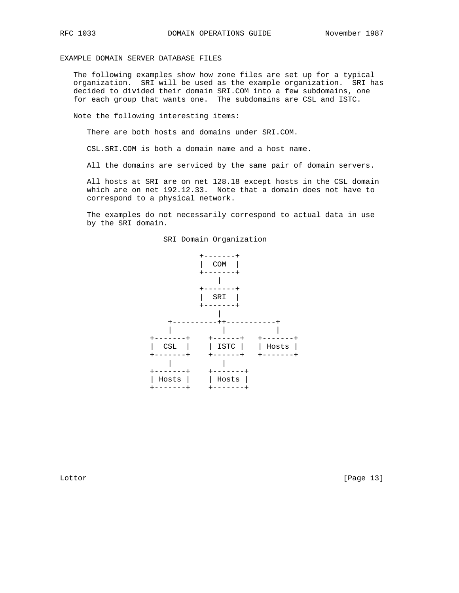EXAMPLE DOMAIN SERVER DATABASE FILES

 The following examples show how zone files are set up for a typical organization. SRI will be used as the example organization. SRI has decided to divided their domain SRI.COM into a few subdomains, one for each group that wants one. The subdomains are CSL and ISTC.

Note the following interesting items:

There are both hosts and domains under SRI.COM.

CSL.SRI.COM is both a domain name and a host name.

All the domains are serviced by the same pair of domain servers.

 All hosts at SRI are on net 128.18 except hosts in the CSL domain which are on net 192.12.33. Note that a domain does not have to correspond to a physical network.

 The examples do not necessarily correspond to actual data in use by the SRI domain.



SRI Domain Organization

Lottor [Page 13]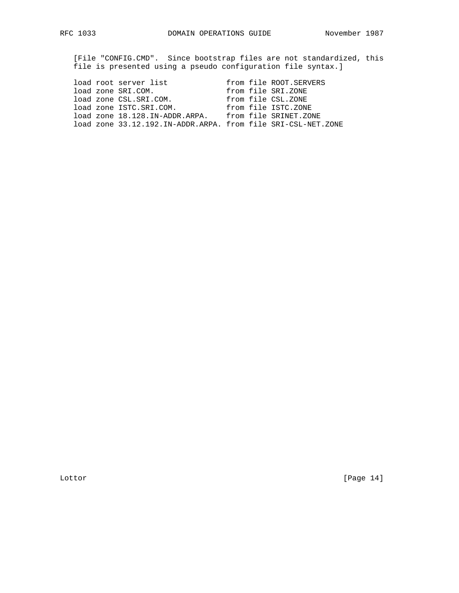[File "CONFIG.CMD". Since bootstrap files are not standardized, this file is presented using a pseudo configuration file syntax.]

|  | load root server list                                        |  | from file ROOT.SERVERS |
|--|--------------------------------------------------------------|--|------------------------|
|  | load zone SRI.COM.                                           |  | from file SRI.ZONE     |
|  | load zone CSL.SRI.COM.                                       |  | from file CSL.ZONE     |
|  | load zone ISTC.SRI.COM.                                      |  | from file ISTC.ZONE    |
|  | load zone 18.128.IN-ADDR.ARPA.                               |  | from file SRINET.ZONE  |
|  | load zone 33.12.192.IN-ADDR.ARPA. from file SRI-CSL-NET.ZONE |  |                        |

Lottor [Page 14]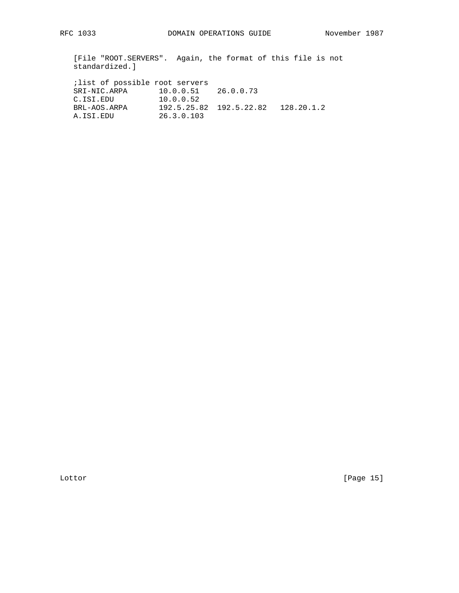[File "ROOT.SERVERS". Again, the format of this file is not standardized.]

| ilist of possible root servers |                         |                                      |  |
|--------------------------------|-------------------------|--------------------------------------|--|
| SRI-NIC.ARPA                   | $10.0.0.51$ $26.0.0.73$ |                                      |  |
| C.ISI.EDU                      | 10.0.0.52               |                                      |  |
| BRL-AOS.ARPA                   |                         | 192.5.25.82  192.5.22.82  128.20.1.2 |  |
| A.ISI.EDU                      | 26.3.0.103              |                                      |  |

Lottor [Page 15]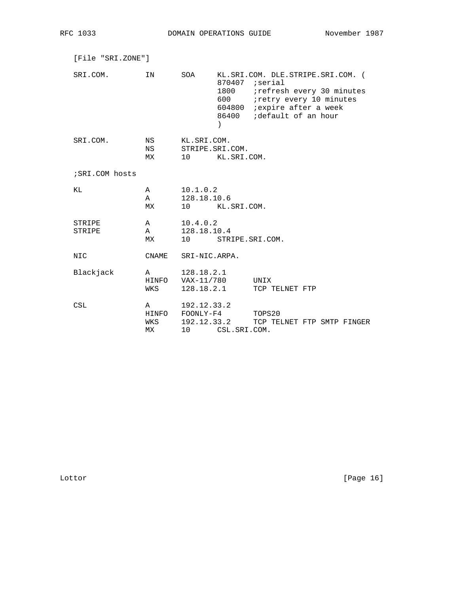| [File "SRI.ZONE"] |                         |                                              |                                        |                                                                                                                                                                                        |
|-------------------|-------------------------|----------------------------------------------|----------------------------------------|----------------------------------------------------------------------------------------------------------------------------------------------------------------------------------------|
| SRI.COM.          | IN                      | SOA                                          | $\lambda$                              | KL.SRI.COM. DLE.STRIPE.SRI.COM. (<br>$870407$ ; serial<br>1800 : refresh every 30 minutes<br>600 : retry every 10 minutes<br>604800 : expire after a week<br>86400 :default of an hour |
| SRI.COM.          | NS<br>NS<br>МX          | KL.SRI.COM.                                  | STRIPE.SRI.COM.<br>10 KL.SRI.COM.      |                                                                                                                                                                                        |
| ; SRI.COM hosts   |                         |                                              |                                        |                                                                                                                                                                                        |
| ΚL                | A<br>$\mathbb A$<br>MX  | 10.1.0.2<br>128.18.10.6                      | 10 KL.SRI.COM.                         |                                                                                                                                                                                        |
| STRIPE<br>STRIPE  | $\mathbf{A}$<br>A<br>MX | 10.4.0.2<br>128.18.10.4                      | 10 STRIPE.SRI.COM.                     |                                                                                                                                                                                        |
| NIC.              | CNAME                   | SRI-NIC.ARPA.                                |                                        |                                                                                                                                                                                        |
| Blackjack         | $\overline{A}$<br>WKS   | 128.18.2.1<br>HINFO VAX-11/780<br>128.18.2.1 |                                        | UNIX<br>TCP TELNET FTP                                                                                                                                                                 |
| CSL               | WKS<br>МX               | A 192.12.33.2<br>10                          | HINFO FOONLY-F4 TOPS20<br>CSL.SRI.COM. | 192.12.33.2 TCP TELNET FTP SMTP FINGER                                                                                                                                                 |

Lottor [Page 16]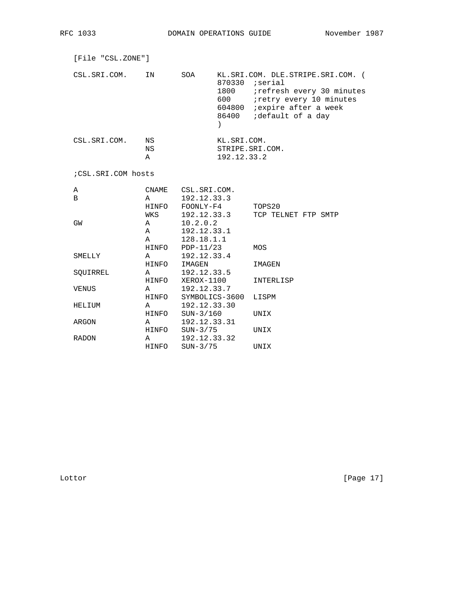| [File "CSL.ZONE"]  |                                   |                                                                     |                            |                                                                                                                                                                                  |
|--------------------|-----------------------------------|---------------------------------------------------------------------|----------------------------|----------------------------------------------------------------------------------------------------------------------------------------------------------------------------------|
| CSL.SRI.COM.       | ΙN                                | SOA                                                                 | 1800<br>$\lambda$          | KL.SRI.COM. DLE.STRIPE.SRI.COM. (<br>$870330$ ; serial<br>irefresh every 30 minutes<br>iretry every 10 minutes<br>604800 <i>i</i> expire after a week<br>86400 ;default of a day |
| CSL.SRI.COM.       | <b>NS</b><br>NS<br>Α              |                                                                     | KL.SRI.COM.<br>192.12.33.2 | STRIPE.SRI.COM.                                                                                                                                                                  |
| ;CSL.SRI.COM hosts |                                   |                                                                     |                            |                                                                                                                                                                                  |
| Α<br>$\mathbf B$   | $\overline{A}$<br>WKS             | CNAME CSL.SRI.COM.<br>192.12.33.3<br>HINFO FOONLY-F4<br>192.12.33.3 |                            | TOPS20<br>TCP TELNET FTP SMTP                                                                                                                                                    |
| GW                 | $\mathsf{A}$<br>$\mathsf{A}$<br>A | 10.2.0.2<br>192.12.33.1<br>128.18.1.1                               |                            |                                                                                                                                                                                  |
| SMELLY             | $\mathbf{A}$<br>HINFO             | $HINFO$ PDP-11/23<br>192.12.33.4<br>IMAGEN                          |                            | MOS<br>IMAGEN                                                                                                                                                                    |
| SOUIRREL           | $\mathsf{A}$<br>HINFO             | 192.12.33.5<br>XEROX-1100                                           |                            | INTERLISP                                                                                                                                                                        |
| VENUS              | $\mathbb{A}$<br>HINFO             | 192.12.33.7                                                         | SYMBOLICS-3600             | LISPM                                                                                                                                                                            |
| HELIUM             | $\mathbb A$<br>HINFO              | 192.12.33.30<br>SUN-3/160                                           |                            | UNIX                                                                                                                                                                             |
| ARGON              | A                                 | 192.12.33.31                                                        |                            |                                                                                                                                                                                  |

RADON A 192.12.33.32

HINFO SUN-3/75 UNIX

HINFO SUN-3/75 UNIX

Lottor [Page 17]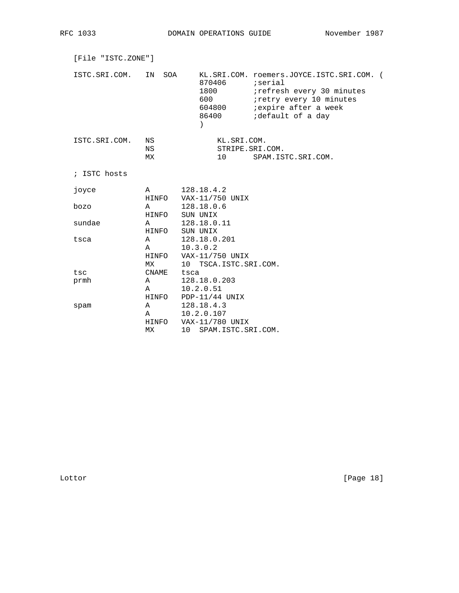RFC 1033 DOMAIN OPERATIONS GUIDE November 1987

| [File "ISTC.ZONE"]<br>ISTC.SRI.COM.<br>SOA<br>KL.SRI.COM. roemers.JOYCE.ISTC.SRI.COM. (<br>IN<br>870406<br>iserial;<br>1800<br>irefresh every 30 minutes<br>600<br>iretry every 10 minutes<br><i>i</i> expire after a week<br>604800<br>86400<br>idefault of a day<br>$\mathcal{E}$<br>ISTC.SRI.COM.<br>ΝS<br>KL.SRI.COM.<br>ΝS<br>STRIPE.SRI.COM.<br>МX<br>10 <sup>°</sup><br>SPAM. ISTC. SRI. COM.<br>; ISTC hosts<br>128.18.4.2<br>joyce<br>$\mathbb A$<br>HINFO VAX-11/750 UNIX |        |                                   |                                                                               |  |  |
|-------------------------------------------------------------------------------------------------------------------------------------------------------------------------------------------------------------------------------------------------------------------------------------------------------------------------------------------------------------------------------------------------------------------------------------------------------------------------------------|--------|-----------------------------------|-------------------------------------------------------------------------------|--|--|
|                                                                                                                                                                                                                                                                                                                                                                                                                                                                                     |        |                                   |                                                                               |  |  |
|                                                                                                                                                                                                                                                                                                                                                                                                                                                                                     |        |                                   |                                                                               |  |  |
|                                                                                                                                                                                                                                                                                                                                                                                                                                                                                     |        |                                   |                                                                               |  |  |
|                                                                                                                                                                                                                                                                                                                                                                                                                                                                                     |        |                                   |                                                                               |  |  |
|                                                                                                                                                                                                                                                                                                                                                                                                                                                                                     |        |                                   |                                                                               |  |  |
|                                                                                                                                                                                                                                                                                                                                                                                                                                                                                     |        |                                   |                                                                               |  |  |
|                                                                                                                                                                                                                                                                                                                                                                                                                                                                                     | bozo   | A<br>HINFO                        | 128.18.0.6<br>SUN UNIX                                                        |  |  |
|                                                                                                                                                                                                                                                                                                                                                                                                                                                                                     | sundae | A<br>HINFO                        | 128.18.0.11<br>SUN UNIX                                                       |  |  |
|                                                                                                                                                                                                                                                                                                                                                                                                                                                                                     | tsca   | $\mathbb A$<br>$\mathbf{A}$<br>МX | 128.18.0.201<br>10.3.0.2<br>HINFO VAX-11/750 UNIX<br>10 TSCA. ISTC. SRI. COM. |  |  |
|                                                                                                                                                                                                                                                                                                                                                                                                                                                                                     | tsc    | CNAME                             | tsca                                                                          |  |  |
|                                                                                                                                                                                                                                                                                                                                                                                                                                                                                     | prmh   | $\mathbf{A}$                      | 128.18.0.203                                                                  |  |  |
|                                                                                                                                                                                                                                                                                                                                                                                                                                                                                     |        | A                                 | 10.2.0.51                                                                     |  |  |
|                                                                                                                                                                                                                                                                                                                                                                                                                                                                                     |        | HINFO                             | $PDP-11/44$ UNIX                                                              |  |  |
|                                                                                                                                                                                                                                                                                                                                                                                                                                                                                     | spam   | A                                 | 128.18.4.3                                                                    |  |  |
|                                                                                                                                                                                                                                                                                                                                                                                                                                                                                     |        | A                                 | 10.2.0.107                                                                    |  |  |
|                                                                                                                                                                                                                                                                                                                                                                                                                                                                                     |        | HINFO                             | VAX-11/780 UNIX                                                               |  |  |
|                                                                                                                                                                                                                                                                                                                                                                                                                                                                                     |        | МX                                | 10 <sup>1</sup><br>SPAM. ISTC. SRI. COM.                                      |  |  |

Lottor [Page 18]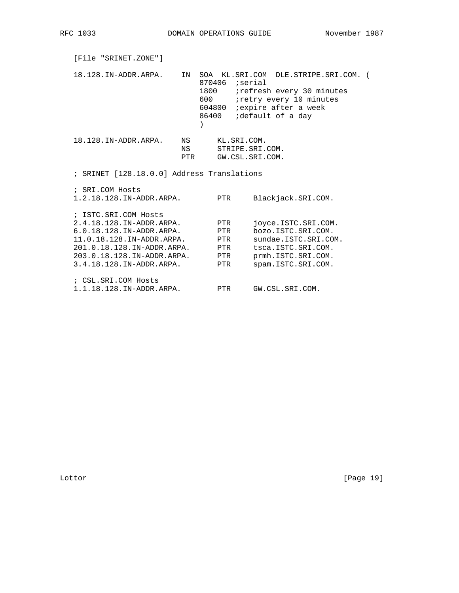| [File "SRINET.ZONE"]                                                                                                                                                                              |                   |                                            |                                                   |                                                                                                                                                                         |  |
|---------------------------------------------------------------------------------------------------------------------------------------------------------------------------------------------------|-------------------|--------------------------------------------|---------------------------------------------------|-------------------------------------------------------------------------------------------------------------------------------------------------------------------------|--|
| 18.128.IN-ADDR.ARPA.                                                                                                                                                                              | IN                | $870406$ ; serial<br>1800<br>600<br>604800 |                                                   | SOA KL.SRI.COM DLE.STRIPE.SRI.COM. (<br><i>i</i> refresh every 30 minutes<br>iretry every 10 minutes<br><i>i</i> expire after a week<br>86400 <i>i</i> default of a day |  |
| 18.128.IN-ADDR.ARPA.                                                                                                                                                                              | NS N<br>NS<br>PTR |                                            | KL.SRI.COM.<br>STRIPE.SRI.COM.<br>GW.CSL.SRI.COM. |                                                                                                                                                                         |  |
| ; SRINET [128.18.0.0] Address Translations                                                                                                                                                        |                   |                                            |                                                   |                                                                                                                                                                         |  |
| ; SRI.COM Hosts<br>1.2.18.128.IN-ADDR.ARPA.                                                                                                                                                       |                   | PTR                                        |                                                   | Blackjack.SRI.COM.                                                                                                                                                      |  |
| ; ISTC.SRI.COM Hosts<br>2.4.18.128.IN-ADDR.ARPA.<br>6.0.18.128.IN-ADDR.ARPA.<br>11.0.18.128.IN-ADDR.ARPA.<br>201.0.18.128.IN-ADDR.ARPA.<br>203.0.18.128.IN-ADDR.ARPA.<br>3.4.18.128.IN-ADDR.ARPA. |                   | PTR<br>PTR<br>PTR<br>PTR<br>PTR<br>PTR     |                                                   | ioyce.ISTC.SRI.COM.<br>bozo. ISTC. SRI. COM.<br>sundae. ISTC. SRI. COM.<br>tsca. ISTC. SRI. COM.<br>prmh. ISTC. SRI. COM.<br>spam. ISTC. SRI. COM.                      |  |
| ; CSL. SRI. COM Hosts<br>1.1.18.128.IN-ADDR.ARPA.                                                                                                                                                 |                   | <b>PTR</b>                                 |                                                   | GW.CSL.SRI.COM.                                                                                                                                                         |  |

Lottor [Page 19]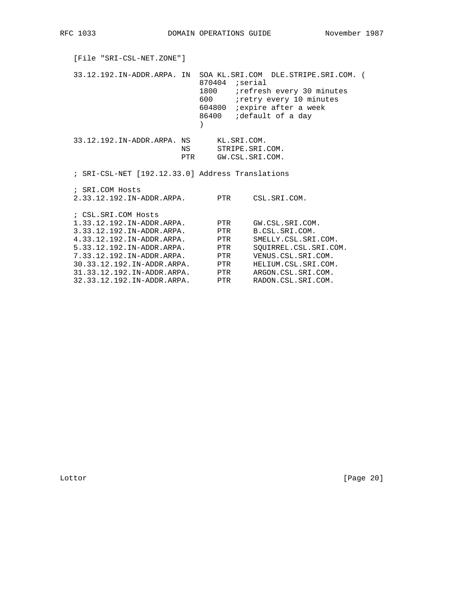| [File "SRI-CSL-NET.ZONE"]                                                                                                                                            |     |                                 |                                                                                                                                                             |  |
|----------------------------------------------------------------------------------------------------------------------------------------------------------------------|-----|---------------------------------|-------------------------------------------------------------------------------------------------------------------------------------------------------------|--|
| 33.12.192.IN-ADDR.ARPA. IN SOA KL.SRI.COM DLE.STRIPE.SRI.COM. (                                                                                                      |     | 1800<br>600 600                 | $870404$ ; serial<br><i>i</i> refresh every 30 minutes<br>iretry every 10 minutes<br>604800 <i>i</i> expire after a week<br>86400 <i>i</i> default of a day |  |
| 33.12.192.IN-ADDR.ARPA. NS KL.SRI.COM.                                                                                                                               | PTR |                                 | NS STRIPE.SRI.COM.<br>GW.CSL.SRI.COM.                                                                                                                       |  |
| ; SRI-CSL-NET [192.12.33.0] Address Translations                                                                                                                     |     |                                 |                                                                                                                                                             |  |
| ; SRI.COM Hosts<br>2.33.12.192.IN-ADDR.ARPA.                                                                                                                         |     | PTR                             | CSL.SRI.COM.                                                                                                                                                |  |
| ; CSL.SRI.COM Hosts<br>1.33.12.192.IN-ADDR.ARPA.<br>3.33.12.192.IN-ADDR.ARPA.<br>4.33.12.192.IN-ADDR.ARPA.<br>5.33.12.192.TN-ADDR.ARPA.<br>7.33.12.192.IN-ADDR.ARPA. |     | PTR<br>PTR<br>PTR<br>PTR<br>PTR | GW.CSL.SRI.COM.<br>B.CSL.SRI.COM.<br>SMELLY.CSL.SRI.COM.<br>SOUIRREL.CSL.SRI.COM.<br>VENUS.CSL.SRI.COM.                                                     |  |
| 30.33.12.192.IN-ADDR.ARPA.                                                                                                                                           |     | PTR                             | HELIUM.CSL.SRI.COM.                                                                                                                                         |  |
| 31.33.12.192.IN-ADDR.ARPA.<br>32.33.12.192.IN-ADDR.ARPA.                                                                                                             |     | PTR<br>PTR                      | ARGON.CSL.SRI.COM.<br>RADON.CSL.SRI.COM.                                                                                                                    |  |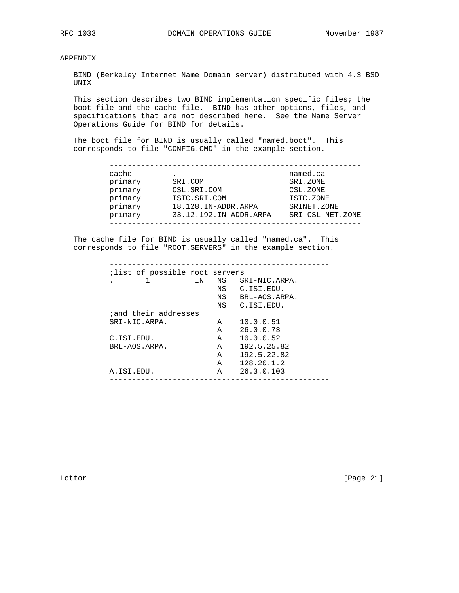APPENDIX

 BIND (Berkeley Internet Name Domain server) distributed with 4.3 BSD UNIX

 This section describes two BIND implementation specific files; the boot file and the cache file. BIND has other options, files, and specifications that are not described here. See the Name Server Operations Guide for BIND for details.

 The boot file for BIND is usually called "named.boot". This corresponds to file "CONFIG.CMD" in the example section.

| cache   |                        | named.ca         |
|---------|------------------------|------------------|
| primary | SRI.COM                | SRI.ZONE         |
| primary | CSL.SRI.COM            | CSL.ZONE         |
| primary | ISTC.SRI.COM           | ISTC.ZONE        |
| primary | 18.128.IN-ADDR.ARPA    | SRINET. ZONE     |
| primary | 33.12.192.IN-ADDR.ARPA | SRI-CSL-NET.ZONE |

 The cache file for BIND is usually called "named.ca". This corresponds to file "ROOT.SERVERS" in the example section.

|                              | ΙN. | NS           | SRI-NIC.ARPA. |
|------------------------------|-----|--------------|---------------|
|                              |     |              | NS C.ISI.EDU. |
|                              |     | NS           | BRL-AOS.ARPA. |
|                              |     |              | NS C.ISI.EDU. |
| <i>i</i> and their addresses |     |              |               |
| SRI-NIC.ARPA.                |     | A            | 10.0.0.51     |
|                              |     | A            | 26.0.0.73     |
| C.ISI.EDU.                   |     | $\mathbf{A}$ | 10.0.0.52     |
| BRL-AOS.ARPA.                |     | A            | 192.5.25.82   |
|                              |     | A            | 192.5.22.82   |
|                              |     | Α            | 128.20.1.2    |
| A.ISI.EDU.                   |     | A            | 26.3.0.103    |

Lottor [Page 21]